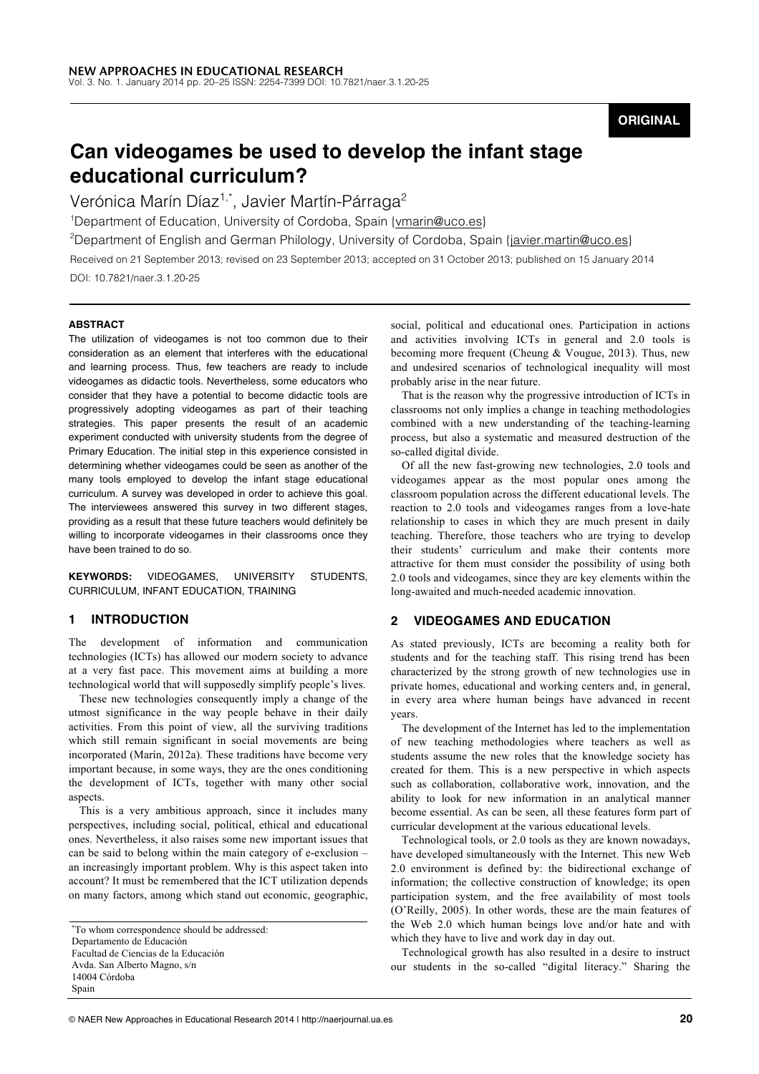**ORIGINAL**

# **Can videogames be used to develop the infant stage educational curriculum?**

Verónica Marín Díaz<sup>1,\*</sup>, Javier Martín-Párraga<sup>2</sup>

<sup>1</sup>Department of Education, University of Cordoba, Spain {vmarin@uco.es}

<sup>2</sup>Department of English and German Philology, University of Cordoba, Spain {javier.martin@uco.es}

Received on 21 September 2013; revised on 23 September 2013; accepted on 31 October 2013; published on 15 January 2014 DOI: 10.7821/naer.3.1.20-25

## **ABSTRACT**

The utilization of videogames is not too common due to their consideration as an element that interferes with the educational and learning process. Thus, few teachers are ready to include videogames as didactic tools. Nevertheless, some educators who consider that they have a potential to become didactic tools are progressively adopting videogames as part of their teaching strategies. This paper presents the result of an academic experiment conducted with university students from the degree of Primary Education. The initial step in this experience consisted in determining whether videogames could be seen as another of the many tools employed to develop the infant stage educational curriculum. A survey was developed in order to achieve this goal. The interviewees answered this survey in two different stages, providing as a result that these future teachers would definitely be willing to incorporate videogames in their classrooms once they have been trained to do so.

**KEYWORDS:** VIDEOGAMES, UNIVERSITY STUDENTS, CURRICULUM, INFANT EDUCATION, TRAINING

# **1 INTRODUCTION**

The development of information and communication technologies (ICTs) has allowed our modern society to advance at a very fast pace. This movement aims at building a more technological world that will supposedly simplify people's lives.

These new technologies consequently imply a change of the utmost significance in the way people behave in their daily activities. From this point of view, all the surviving traditions which still remain significant in social movements are being incorporated (Marín, 2012a). These traditions have become very important because, in some ways, they are the ones conditioning the development of ICTs, together with many other social aspects.

This is a very ambitious approach, since it includes many perspectives, including social, political, ethical and educational ones. Nevertheless, it also raises some new important issues that can be said to belong within the main category of e-exclusion – an increasingly important problem. Why is this aspect taken into account? It must be remembered that the ICT utilization depends on many factors, among which stand out economic, geographic,

social, political and educational ones. Participation in actions and activities involving ICTs in general and 2.0 tools is becoming more frequent (Cheung & Vougue, 2013). Thus, new and undesired scenarios of technological inequality will most probably arise in the near future.

That is the reason why the progressive introduction of ICTs in classrooms not only implies a change in teaching methodologies combined with a new understanding of the teaching-learning process, but also a systematic and measured destruction of the so-called digital divide.

Of all the new fast-growing new technologies, 2.0 tools and videogames appear as the most popular ones among the classroom population across the different educational levels. The reaction to 2.0 tools and videogames ranges from a love-hate relationship to cases in which they are much present in daily teaching. Therefore, those teachers who are trying to develop their students' curriculum and make their contents more attractive for them must consider the possibility of using both 2.0 tools and videogames, since they are key elements within the long-awaited and much-needed academic innovation.

# **2 VIDEOGAMES AND EDUCATION**

As stated previously, ICTs are becoming a reality both for students and for the teaching staff. This rising trend has been characterized by the strong growth of new technologies use in private homes, educational and working centers and, in general, in every area where human beings have advanced in recent years.

The development of the Internet has led to the implementation of new teaching methodologies where teachers as well as students assume the new roles that the knowledge society has created for them. This is a new perspective in which aspects such as collaboration, collaborative work, innovation, and the ability to look for new information in an analytical manner become essential. As can be seen, all these features form part of curricular development at the various educational levels.

Technological tools, or 2.0 tools as they are known nowadays, have developed simultaneously with the Internet. This new Web 2.0 environment is defined by: the bidirectional exchange of information; the collective construction of knowledge; its open participation system, and the free availability of most tools (O'Reilly, 2005). In other words, these are the main features of the Web 2.0 which human beings love and/or hate and with which they have to live and work day in day out.

Technological growth has also resulted in a desire to instruct our students in the so-called "digital literacy." Sharing the

<sup>\*</sup>To whom correspondence should be addressed: Departamento de Educación Facultad de Ciencias de la Educación Avda. San Alberto Magno, s/n 14004 Córdoba Spain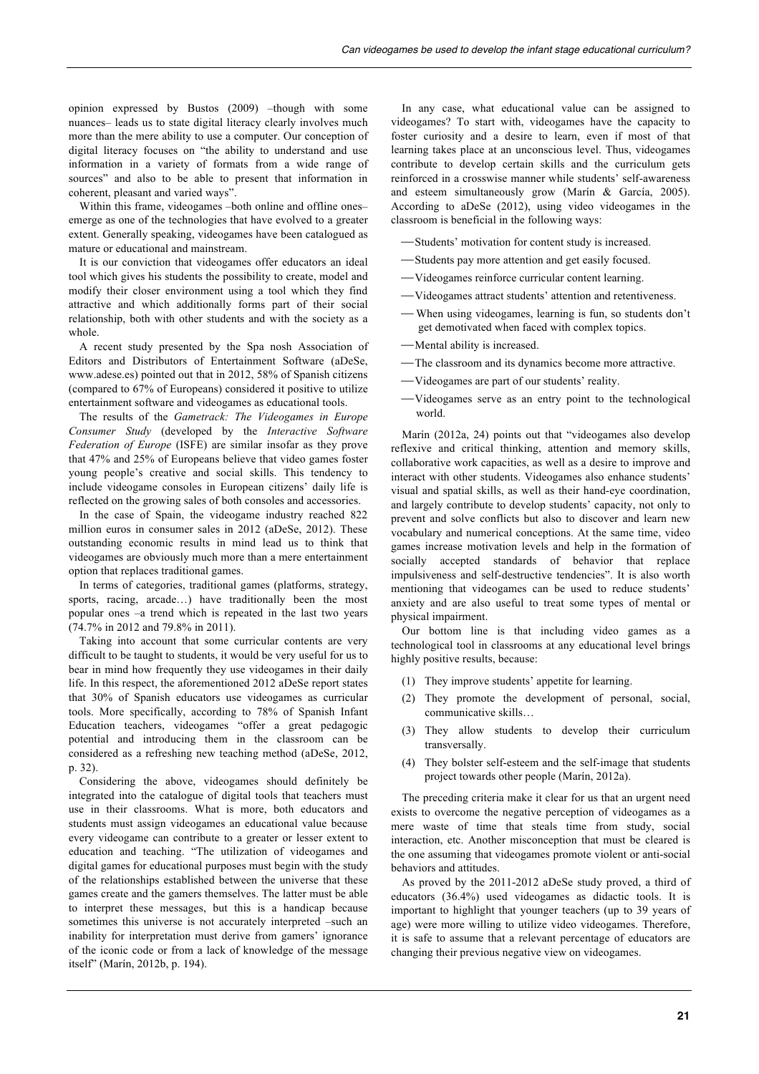opinion expressed by Bustos (2009) –though with some nuances– leads us to state digital literacy clearly involves much more than the mere ability to use a computer. Our conception of digital literacy focuses on "the ability to understand and use information in a variety of formats from a wide range of sources" and also to be able to present that information in coherent, pleasant and varied ways".

Within this frame, videogames –both online and offline ones– emerge as one of the technologies that have evolved to a greater extent. Generally speaking, videogames have been catalogued as mature or educational and mainstream.

It is our conviction that videogames offer educators an ideal tool which gives his students the possibility to create, model and modify their closer environment using a tool which they find attractive and which additionally forms part of their social relationship, both with other students and with the society as a whole.

A recent study presented by the Spa nosh Association of Editors and Distributors of Entertainment Software (aDeSe, www.adese.es) pointed out that in 2012, 58% of Spanish citizens (compared to 67% of Europeans) considered it positive to utilize entertainment software and videogames as educational tools.

The results of the *Gametrack: The Videogames in Europe Consumer Study* (developed by the *Interactive Software Federation of Europe* (ISFE) are similar insofar as they prove that 47% and 25% of Europeans believe that video games foster young people's creative and social skills. This tendency to include videogame consoles in European citizens' daily life is reflected on the growing sales of both consoles and accessories.

In the case of Spain, the videogame industry reached 822 million euros in consumer sales in 2012 (aDeSe, 2012). These outstanding economic results in mind lead us to think that videogames are obviously much more than a mere entertainment option that replaces traditional games.

In terms of categories, traditional games (platforms, strategy, sports, racing, arcade...) have traditionally been the most popular ones –a trend which is repeated in the last two years (74.7% in 2012 and 79.8% in 2011).

Taking into account that some curricular contents are very difficult to be taught to students, it would be very useful for us to bear in mind how frequently they use videogames in their daily life. In this respect, the aforementioned 2012 aDeSe report states that 30% of Spanish educators use videogames as curricular tools. More specifically, according to 78% of Spanish Infant Education teachers, videogames "offer a great pedagogic potential and introducing them in the classroom can be considered as a refreshing new teaching method (aDeSe, 2012, p. 32).

Considering the above, videogames should definitely be integrated into the catalogue of digital tools that teachers must use in their classrooms. What is more, both educators and students must assign videogames an educational value because every videogame can contribute to a greater or lesser extent to education and teaching. "The utilization of videogames and digital games for educational purposes must begin with the study of the relationships established between the universe that these games create and the gamers themselves. The latter must be able to interpret these messages, but this is a handicap because sometimes this universe is not accurately interpreted –such an inability for interpretation must derive from gamers' ignorance of the iconic code or from a lack of knowledge of the message itself" (Marín, 2012b, p. 194).

In any case, what educational value can be assigned to videogames? To start with, videogames have the capacity to foster curiosity and a desire to learn, even if most of that learning takes place at an unconscious level. Thus, videogames contribute to develop certain skills and the curriculum gets reinforced in a crosswise manner while students' self-awareness and esteem simultaneously grow (Marín & García, 2005). According to aDeSe (2012), using video videogames in the classroom is beneficial in the following ways:

- -Students' motivation for content study is increased.
- ⎯Students pay more attention and get easily focused.
- ⎯Videogames reinforce curricular content learning.
- ⎯Videogames attract students' attention and retentiveness.
- ⎯ When using videogames, learning is fun, so students don't get demotivated when faced with complex topics.
- -Mental ability is increased.
- -The classroom and its dynamics become more attractive.
- ⎯Videogames are part of our students' reality.
- ⎯Videogames serve as an entry point to the technological world.

Marín (2012a, 24) points out that "videogames also develop reflexive and critical thinking, attention and memory skills, collaborative work capacities, as well as a desire to improve and interact with other students. Videogames also enhance students' visual and spatial skills, as well as their hand-eye coordination, and largely contribute to develop students' capacity, not only to prevent and solve conflicts but also to discover and learn new vocabulary and numerical conceptions. At the same time, video games increase motivation levels and help in the formation of socially accepted standards of behavior that replace impulsiveness and self-destructive tendencies". It is also worth mentioning that videogames can be used to reduce students' anxiety and are also useful to treat some types of mental or physical impairment.

Our bottom line is that including video games as a technological tool in classrooms at any educational level brings highly positive results, because:

- (1) They improve students' appetite for learning.
- (2) They promote the development of personal, social, communicative skills…
- (3) They allow students to develop their curriculum transversally.
- (4) They bolster self-esteem and the self-image that students project towards other people (Marín, 2012a).

The preceding criteria make it clear for us that an urgent need exists to overcome the negative perception of videogames as a mere waste of time that steals time from study, social interaction, etc. Another misconception that must be cleared is the one assuming that videogames promote violent or anti-social behaviors and attitudes.

As proved by the 2011-2012 aDeSe study proved, a third of educators (36.4%) used videogames as didactic tools. It is important to highlight that younger teachers (up to 39 years of age) were more willing to utilize video videogames. Therefore, it is safe to assume that a relevant percentage of educators are changing their previous negative view on videogames.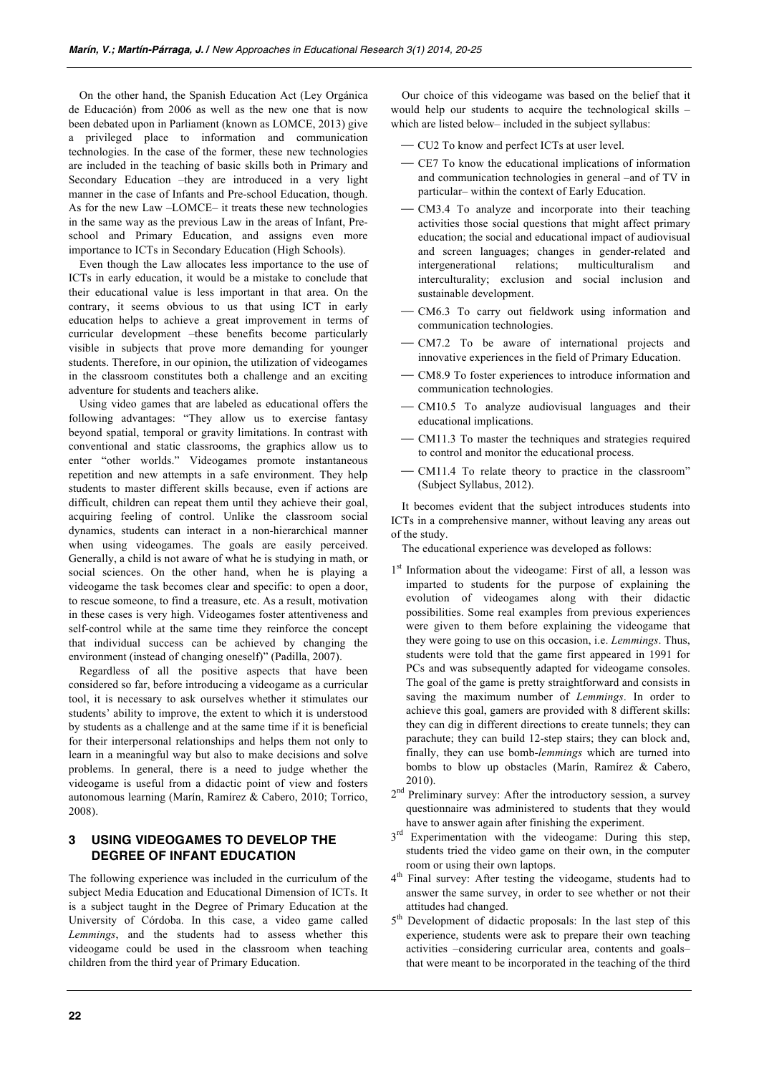On the other hand, the Spanish Education Act (Ley Orgánica de Educación) from 2006 as well as the new one that is now been debated upon in Parliament (known as LOMCE, 2013) give a privileged place to information and communication technologies. In the case of the former, these new technologies are included in the teaching of basic skills both in Primary and Secondary Education –they are introduced in a very light manner in the case of Infants and Pre-school Education, though. As for the new Law –LOMCE– it treats these new technologies in the same way as the previous Law in the areas of Infant, Preschool and Primary Education, and assigns even more importance to ICTs in Secondary Education (High Schools).

Even though the Law allocates less importance to the use of ICTs in early education, it would be a mistake to conclude that their educational value is less important in that area. On the contrary, it seems obvious to us that using ICT in early education helps to achieve a great improvement in terms of curricular development –these benefits become particularly visible in subjects that prove more demanding for younger students. Therefore, in our opinion, the utilization of videogames in the classroom constitutes both a challenge and an exciting adventure for students and teachers alike.

Using video games that are labeled as educational offers the following advantages: "They allow us to exercise fantasy beyond spatial, temporal or gravity limitations. In contrast with conventional and static classrooms, the graphics allow us to enter "other worlds." Videogames promote instantaneous repetition and new attempts in a safe environment. They help students to master different skills because, even if actions are difficult, children can repeat them until they achieve their goal, acquiring feeling of control. Unlike the classroom social dynamics, students can interact in a non-hierarchical manner when using videogames. The goals are easily perceived. Generally, a child is not aware of what he is studying in math, or social sciences. On the other hand, when he is playing a videogame the task becomes clear and specific: to open a door, to rescue someone, to find a treasure, etc. As a result, motivation in these cases is very high. Videogames foster attentiveness and self-control while at the same time they reinforce the concept that individual success can be achieved by changing the environment (instead of changing oneself)" (Padilla, 2007).

Regardless of all the positive aspects that have been considered so far, before introducing a videogame as a curricular tool, it is necessary to ask ourselves whether it stimulates our students' ability to improve, the extent to which it is understood by students as a challenge and at the same time if it is beneficial for their interpersonal relationships and helps them not only to learn in a meaningful way but also to make decisions and solve problems. In general, there is a need to judge whether the videogame is useful from a didactic point of view and fosters autonomous learning (Marín, Ramírez & Cabero, 2010; Torrico, 2008).

# **3 USING VIDEOGAMES TO DEVELOP THE DEGREE OF INFANT EDUCATION**

The following experience was included in the curriculum of the subject Media Education and Educational Dimension of ICTs. It is a subject taught in the Degree of Primary Education at the University of Córdoba. In this case, a video game called *Lemmings*, and the students had to assess whether this videogame could be used in the classroom when teaching children from the third year of Primary Education.

Our choice of this videogame was based on the belief that it would help our students to acquire the technological skills – which are listed below– included in the subject syllabus:

- ⎯ CU2 To know and perfect ICTs at user level.
- ⎯ CE7 To know the educational implications of information and communication technologies in general –and of TV in particular– within the context of Early Education.
- CM3.4 To analyze and incorporate into their teaching activities those social questions that might affect primary education; the social and educational impact of audiovisual and screen languages; changes in gender-related and intergenerational relations; multiculturalism and interculturality; exclusion and social inclusion and sustainable development.
- ⎯ CM6.3 To carry out fieldwork using information and communication technologies.
- CM7.2 To be aware of international projects and innovative experiences in the field of Primary Education.
- ⎯ CM8.9 To foster experiences to introduce information and communication technologies.
- CM10.5 To analyze audiovisual languages and their educational implications.
- ⎯ CM11.3 To master the techniques and strategies required to control and monitor the educational process.
- CM11.4 To relate theory to practice in the classroom" (Subject Syllabus, 2012).

It becomes evident that the subject introduces students into ICTs in a comprehensive manner, without leaving any areas out of the study.

The educational experience was developed as follows:

- 1<sup>st</sup> Information about the videogame: First of all, a lesson was imparted to students for the purpose of explaining the evolution of videogames along with their didactic possibilities. Some real examples from previous experiences were given to them before explaining the videogame that they were going to use on this occasion, i.e. *Lemmings*. Thus, students were told that the game first appeared in 1991 for PCs and was subsequently adapted for videogame consoles. The goal of the game is pretty straightforward and consists in saving the maximum number of *Lemmings*. In order to achieve this goal, gamers are provided with 8 different skills: they can dig in different directions to create tunnels; they can parachute; they can build 12-step stairs; they can block and, finally, they can use bomb-*lemmings* which are turned into bombs to blow up obstacles (Marín, Ramírez & Cabero, 2010).
- 2<sup>nd</sup> Preliminary survey: After the introductory session, a survey questionnaire was administered to students that they would have to answer again after finishing the experiment.
- $3<sup>rd</sup>$  Experimentation with the videogame: During this step, students tried the video game on their own, in the computer room or using their own laptops.
- 4<sup>th</sup> Final survey: After testing the videogame, students had to answer the same survey, in order to see whether or not their attitudes had changed.
- 5<sup>th</sup> Development of didactic proposals: In the last step of this experience, students were ask to prepare their own teaching activities –considering curricular area, contents and goals– that were meant to be incorporated in the teaching of the third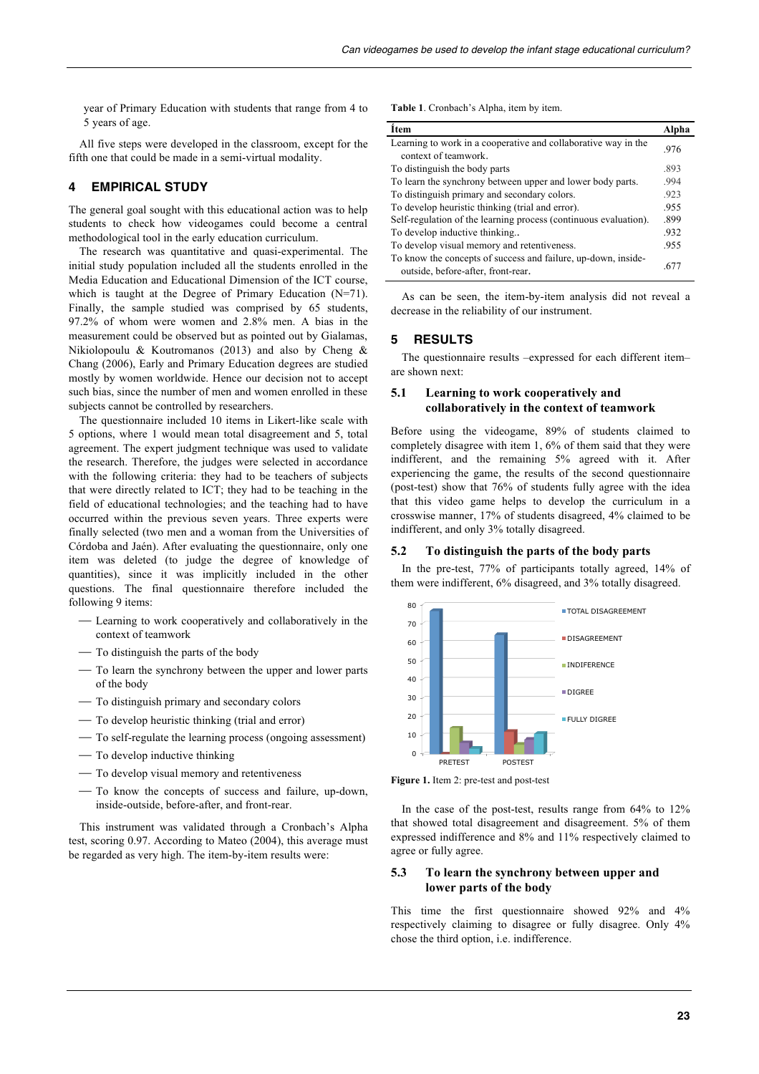year of Primary Education with students that range from 4 to 5 years of age.

All five steps were developed in the classroom, except for the fifth one that could be made in a semi-virtual modality.

# **4 EMPIRICAL STUDY**

The general goal sought with this educational action was to help students to check how videogames could become a central methodological tool in the early education curriculum.

The research was quantitative and quasi-experimental. The initial study population included all the students enrolled in the Media Education and Educational Dimension of the ICT course, which is taught at the Degree of Primary Education (N=71). Finally, the sample studied was comprised by 65 students, 97.2% of whom were women and 2.8% men. A bias in the measurement could be observed but as pointed out by Gialamas, Nikiolopoulu & Koutromanos (2013) and also by Cheng & Chang (2006), Early and Primary Education degrees are studied mostly by women worldwide. Hence our decision not to accept such bias, since the number of men and women enrolled in these subjects cannot be controlled by researchers.

The questionnaire included 10 items in Likert-like scale with 5 options, where 1 would mean total disagreement and 5, total agreement. The expert judgment technique was used to validate the research. Therefore, the judges were selected in accordance with the following criteria: they had to be teachers of subjects that were directly related to ICT; they had to be teaching in the field of educational technologies; and the teaching had to have occurred within the previous seven years. Three experts were finally selected (two men and a woman from the Universities of Córdoba and Jaén). After evaluating the questionnaire, only one item was deleted (to judge the degree of knowledge of quantities), since it was implicitly included in the other questions. The final questionnaire therefore included the following 9 items:

- ⎯ Learning to work cooperatively and collaboratively in the context of teamwork
- ⎯ To distinguish the parts of the body
- To learn the synchrony between the upper and lower parts of the body
- $-$  To distinguish primary and secondary colors
- $-$  To develop heuristic thinking (trial and error)
- ⎯ To self-regulate the learning process (ongoing assessment)
- $-$  To develop inductive thinking
- $-$  To develop visual memory and retentiveness
- ⎯ To know the concepts of success and failure, up-down, inside-outside, before-after, and front-rear.

This instrument was validated through a Cronbach's Alpha test, scoring 0.97. According to Mateo (2004), this average must be regarded as very high. The item-by-item results were:

Table 1. Cronbach's Alpha, item by item.

| <i>i</i> tem                                                     | Alpha |
|------------------------------------------------------------------|-------|
| Learning to work in a cooperative and collaborative way in the   | .976  |
| context of teamwork                                              |       |
| To distinguish the body parts                                    | .893  |
| To learn the synchrony between upper and lower body parts.       | .994  |
| To distinguish primary and secondary colors.                     | .923  |
| To develop heuristic thinking (trial and error).                 | .955  |
| Self-regulation of the learning process (continuous evaluation). | .899  |
| To develop inductive thinking                                    | .932  |
| To develop visual memory and retentiveness.                      | .955  |
| To know the concepts of success and failure, up-down, inside-    |       |
| outside, before-after, front-rear.                               | .677  |

As can be seen, the item-by-item analysis did not reveal a decrease in the reliability of our instrument.

## **5 RESULTS**

The questionnaire results –expressed for each different item– are shown next:

## **5.1 Learning to work cooperatively and collaboratively in the context of teamwork**

Before using the videogame, 89% of students claimed to completely disagree with item 1, 6% of them said that they were indifferent, and the remaining 5% agreed with it. After experiencing the game, the results of the second questionnaire (post-test) show that 76% of students fully agree with the idea that this video game helps to develop the curriculum in a crosswise manner, 17% of students disagreed, 4% claimed to be indifferent, and only 3% totally disagreed.

#### **5.2 To distinguish the parts of the body parts**

In the pre-test, 77% of participants totally agreed, 14% of them were indifferent, 6% disagreed, and 3% totally disagreed.



**Figure 1.** Item 2: pre-test and post-test

In the case of the post-test, results range from 64% to 12% that showed total disagreement and disagreement. 5% of them expressed indifference and 8% and 11% respectively claimed to agree or fully agree.

## **5.3 To learn the synchrony between upper and lower parts of the body**

This time the first questionnaire showed 92% and 4% respectively claiming to disagree or fully disagree. Only 4% chose the third option, i.e. indifference.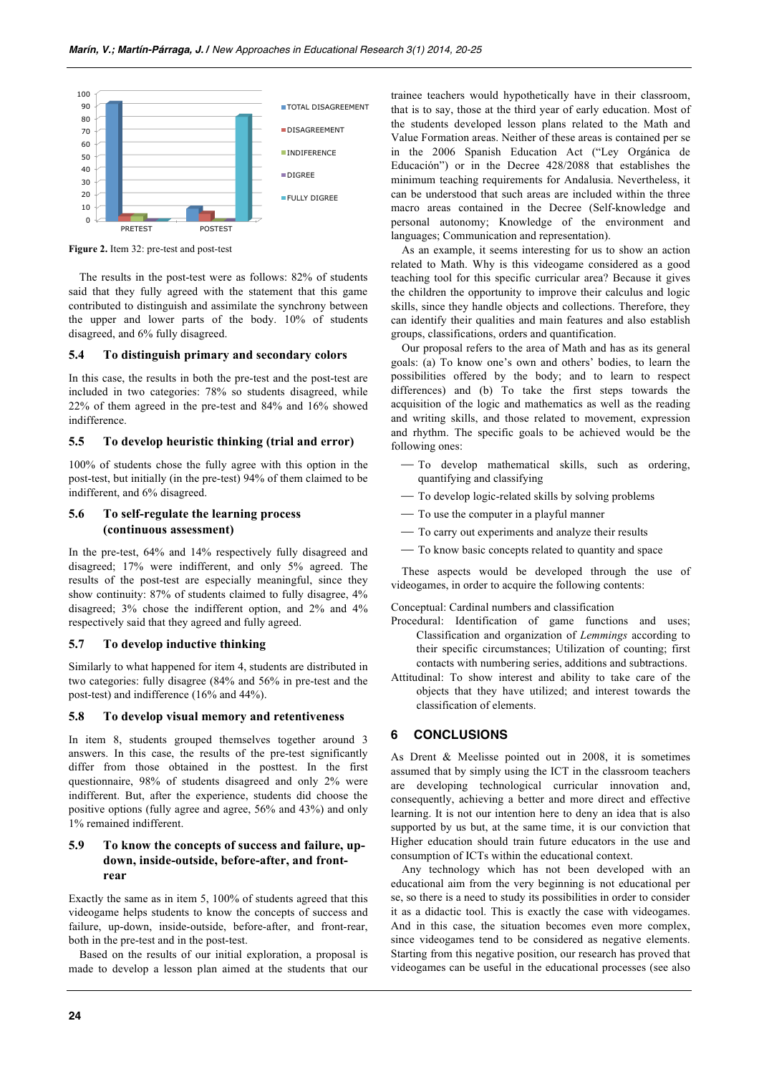

**Figure 2.** Item 32: pre-test and post-test

The results in the post-test were as follows: 82% of students said that they fully agreed with the statement that this game contributed to distinguish and assimilate the synchrony between the upper and lower parts of the body. 10% of students disagreed, and 6% fully disagreed.

## **5.4 To distinguish primary and secondary colors**

In this case, the results in both the pre-test and the post-test are included in two categories: 78% so students disagreed, while 22% of them agreed in the pre-test and 84% and 16% showed indifference.

## **5.5 To develop heuristic thinking (trial and error)**

100% of students chose the fully agree with this option in the post-test, but initially (in the pre-test) 94% of them claimed to be indifferent, and 6% disagreed.

# **5.6 To self-regulate the learning process (continuous assessment)**

In the pre-test, 64% and 14% respectively fully disagreed and disagreed; 17% were indifferent, and only 5% agreed. The results of the post-test are especially meaningful, since they show continuity: 87% of students claimed to fully disagree, 4% disagreed; 3% chose the indifferent option, and 2% and 4% respectively said that they agreed and fully agreed.

## **5.7 To develop inductive thinking**

Similarly to what happened for item 4, students are distributed in two categories: fully disagree (84% and 56% in pre-test and the post-test) and indifference (16% and 44%).

#### **5.8 To develop visual memory and retentiveness**

In item 8, students grouped themselves together around 3 answers. In this case, the results of the pre-test significantly differ from those obtained in the posttest. In the first questionnaire, 98% of students disagreed and only 2% were indifferent. But, after the experience, students did choose the positive options (fully agree and agree, 56% and 43%) and only 1% remained indifferent.

# **5.9 To know the concepts of success and failure, updown, inside-outside, before-after, and frontrear**

Exactly the same as in item 5, 100% of students agreed that this videogame helps students to know the concepts of success and failure, up-down, inside-outside, before-after, and front-rear, both in the pre-test and in the post-test.

Based on the results of our initial exploration, a proposal is made to develop a lesson plan aimed at the students that our

trainee teachers would hypothetically have in their classroom, that is to say, those at the third year of early education. Most of the students developed lesson plans related to the Math and Value Formation areas. Neither of these areas is contained per se in the 2006 Spanish Education Act ("Ley Orgánica de Educación") or in the Decree 428/2088 that establishes the minimum teaching requirements for Andalusia. Nevertheless, it can be understood that such areas are included within the three macro areas contained in the Decree (Self-knowledge and personal autonomy; Knowledge of the environment and languages; Communication and representation).

As an example, it seems interesting for us to show an action related to Math. Why is this videogame considered as a good teaching tool for this specific curricular area? Because it gives the children the opportunity to improve their calculus and logic skills, since they handle objects and collections. Therefore, they can identify their qualities and main features and also establish groups, classifications, orders and quantification.

Our proposal refers to the area of Math and has as its general goals: (a) To know one's own and others' bodies, to learn the possibilities offered by the body; and to learn to respect differences) and (b) To take the first steps towards the acquisition of the logic and mathematics as well as the reading and writing skills, and those related to movement, expression and rhythm. The specific goals to be achieved would be the following ones:

- To develop mathematical skills, such as ordering, quantifying and classifying
- $-$  To develop logic-related skills by solving problems
- ⎯ To use the computer in a playful manner
- $-$  To carry out experiments and analyze their results
- ⎯ To know basic concepts related to quantity and space

These aspects would be developed through the use of videogames, in order to acquire the following contents:

Conceptual: Cardinal numbers and classification

- Procedural: Identification of game functions and uses; Classification and organization of *Lemmings* according to their specific circumstances; Utilization of counting; first contacts with numbering series, additions and subtractions.
- Attitudinal: To show interest and ability to take care of the objects that they have utilized; and interest towards the classification of elements.

# **6 CONCLUSIONS**

As Drent & Meelisse pointed out in 2008, it is sometimes assumed that by simply using the ICT in the classroom teachers are developing technological curricular innovation and, consequently, achieving a better and more direct and effective learning. It is not our intention here to deny an idea that is also supported by us but, at the same time, it is our conviction that Higher education should train future educators in the use and consumption of ICTs within the educational context.

Any technology which has not been developed with an educational aim from the very beginning is not educational per se, so there is a need to study its possibilities in order to consider it as a didactic tool. This is exactly the case with videogames. And in this case, the situation becomes even more complex, since videogames tend to be considered as negative elements. Starting from this negative position, our research has proved that videogames can be useful in the educational processes (see also